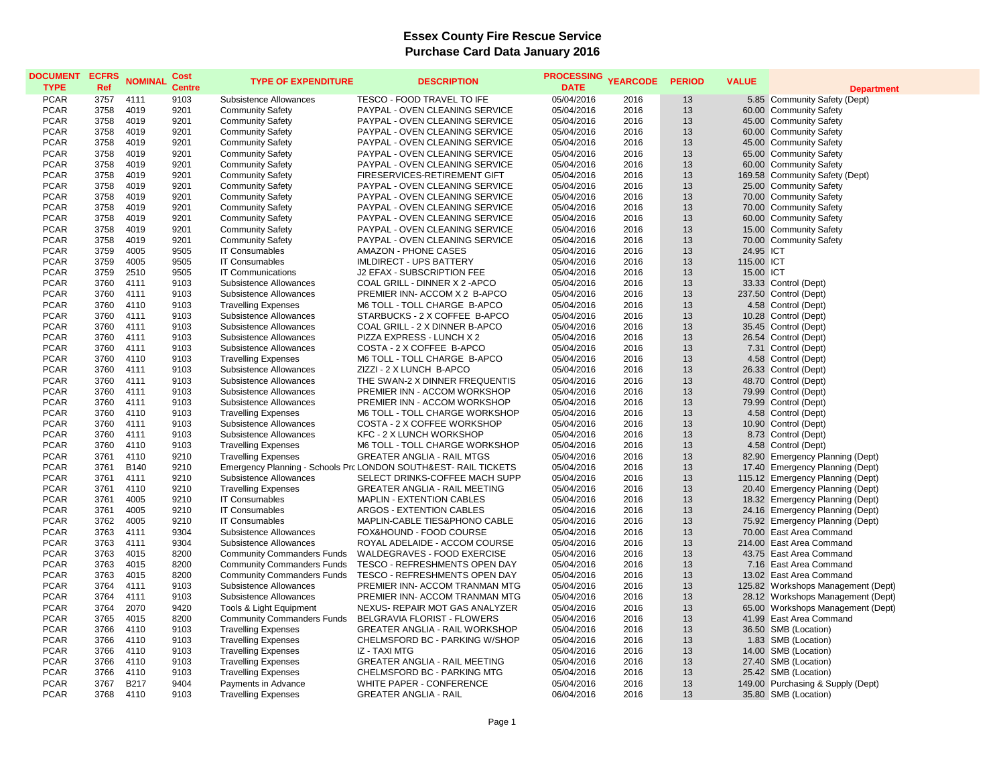| <b>DOCUMENT</b><br><b>TYPE</b> | <b>ECFRS</b><br>Ref | <b>NOMINAL</b> | Cost<br><b>Centre</b> | <b>TYPE OF EXPENDITURE</b>        | <b>DESCRIPTION</b>                                              | <b>PROCESSING</b><br><b>DATE</b> | <b>YEARCODE</b> | <b>PERIOD</b> | <b>VALUE</b> | <b>Department</b>                  |
|--------------------------------|---------------------|----------------|-----------------------|-----------------------------------|-----------------------------------------------------------------|----------------------------------|-----------------|---------------|--------------|------------------------------------|
| <b>PCAR</b>                    | 3757                | 4111           | 9103                  | Subsistence Allowances            | TESCO - FOOD TRAVEL TO IFE                                      | 05/04/2016                       | 2016            | 13            |              | 5.85 Community Safety (Dept)       |
| <b>PCAR</b>                    | 3758                | 4019           | 9201                  | <b>Community Safety</b>           | PAYPAL - OVEN CLEANING SERVICE                                  | 05/04/2016                       | 2016            | 13            |              | 60.00 Community Safety             |
| <b>PCAR</b>                    | 3758                | 4019           | 9201                  | <b>Community Safety</b>           | PAYPAL - OVEN CLEANING SERVICE                                  | 05/04/2016                       | 2016            | 13            |              | 45.00 Community Safety             |
| <b>PCAR</b>                    | 3758                | 4019           | 9201                  | <b>Community Safety</b>           | PAYPAL - OVEN CLEANING SERVICE                                  | 05/04/2016                       | 2016            | 13            |              | 60.00 Community Safety             |
| <b>PCAR</b>                    | 3758                | 4019           | 9201                  | <b>Community Safety</b>           | PAYPAL - OVEN CLEANING SERVICE                                  | 05/04/2016                       | 2016            | 13            |              | 45.00 Community Safety             |
| <b>PCAR</b>                    | 3758                | 4019           | 9201                  | <b>Community Safety</b>           | PAYPAL - OVEN CLEANING SERVICE                                  | 05/04/2016                       | 2016            | 13            |              | 65.00 Community Safety             |
| <b>PCAR</b>                    | 3758                | 4019           | 9201                  | <b>Community Safety</b>           | PAYPAL - OVEN CLEANING SERVICE                                  | 05/04/2016                       | 2016            | 13            |              | 60.00 Community Safety             |
| <b>PCAR</b>                    | 3758                | 4019           | 9201                  | <b>Community Safety</b>           | FIRESERVICES-RETIREMENT GIFT                                    | 05/04/2016                       | 2016            | 13            |              | 169.58 Community Safety (Dept)     |
| <b>PCAR</b>                    | 3758                | 4019           | 9201                  | <b>Community Safety</b>           | PAYPAL - OVEN CLEANING SERVICE                                  | 05/04/2016                       | 2016            | 13            |              | 25.00 Community Safety             |
| <b>PCAR</b>                    | 3758                | 4019           | 9201                  | <b>Community Safety</b>           | PAYPAL - OVEN CLEANING SERVICE                                  | 05/04/2016                       | 2016            | 13            |              | 70.00 Community Safety             |
| <b>PCAR</b>                    | 3758                | 4019           | 9201                  | <b>Community Safety</b>           | PAYPAL - OVEN CLEANING SERVICE                                  | 05/04/2016                       | 2016            | 13            |              | 70.00 Community Safety             |
| <b>PCAR</b>                    | 3758                | 4019           | 9201                  | <b>Community Safety</b>           | PAYPAL - OVEN CLEANING SERVICE                                  | 05/04/2016                       | 2016            | 13            |              | 60.00 Community Safety             |
| <b>PCAR</b>                    | 3758                | 4019           | 9201                  | <b>Community Safety</b>           | PAYPAL - OVEN CLEANING SERVICE                                  | 05/04/2016                       | 2016            | 13            |              | 15.00 Community Safety             |
| <b>PCAR</b>                    | 3758                | 4019           | 9201                  | <b>Community Safety</b>           | PAYPAL - OVEN CLEANING SERVICE                                  | 05/04/2016                       | 2016            | 13            |              | 70.00 Community Safety             |
| <b>PCAR</b>                    | 3759                | 4005           | 9505                  | <b>IT Consumables</b>             | AMAZON - PHONE CASES                                            | 05/04/2016                       | 2016            | 13            | 24.95 ICT    |                                    |
| <b>PCAR</b>                    | 3759                | 4005           | 9505                  | <b>IT Consumables</b>             | <b>IMLDIRECT - UPS BATTERY</b>                                  | 05/04/2016                       | 2016            | 13            | 115.00 ICT   |                                    |
| <b>PCAR</b>                    | 3759                | 2510           | 9505                  | <b>IT Communications</b>          | J2 EFAX - SUBSCRIPTION FEE                                      | 05/04/2016                       | 2016            | 13            | 15.00 ICT    |                                    |
| <b>PCAR</b>                    | 3760                | 4111           | 9103                  | Subsistence Allowances            | COAL GRILL - DINNER X 2 - APCO                                  | 05/04/2016                       | 2016            | 13            |              | 33.33 Control (Dept)               |
| <b>PCAR</b>                    | 3760                | 4111           | 9103                  | <b>Subsistence Allowances</b>     | PREMIER INN- ACCOM X 2 B-APCO                                   | 05/04/2016                       | 2016            | 13            |              | 237.50 Control (Dept)              |
| <b>PCAR</b>                    | 3760                | 4110           | 9103                  | <b>Travelling Expenses</b>        | M6 TOLL - TOLL CHARGE B-APCO                                    | 05/04/2016                       | 2016            | 13            |              | 4.58 Control (Dept)                |
| <b>PCAR</b>                    | 3760                | 4111           | 9103                  | Subsistence Allowances            | STARBUCKS - 2 X COFFEE B-APCO                                   | 05/04/2016                       | 2016            | 13            |              | 10.28 Control (Dept)               |
| <b>PCAR</b>                    | 3760                | 4111           | 9103                  | Subsistence Allowances            | COAL GRILL - 2 X DINNER B-APCO                                  | 05/04/2016                       | 2016            | 13            |              | 35.45 Control (Dept)               |
| <b>PCAR</b>                    | 3760                | 4111           | 9103                  | Subsistence Allowances            | PIZZA EXPRESS - LUNCH X 2                                       | 05/04/2016                       | 2016            | 13            |              | 26.54 Control (Dept)               |
| <b>PCAR</b>                    | 3760                | 4111           | 9103                  | Subsistence Allowances            | COSTA - 2 X COFFEE B-APCO                                       | 05/04/2016                       | 2016            | 13            |              | 7.31 Control (Dept)                |
| <b>PCAR</b>                    | 3760                | 4110           | 9103                  | <b>Travelling Expenses</b>        | M6 TOLL - TOLL CHARGE B-APCO                                    | 05/04/2016                       | 2016            | 13            |              | 4.58 Control (Dept)                |
| <b>PCAR</b>                    | 3760                | 4111           | 9103                  | Subsistence Allowances            | ZIZZI - 2 X LUNCH B-APCO                                        | 05/04/2016                       | 2016            | 13            |              | 26.33 Control (Dept)               |
| <b>PCAR</b>                    | 3760                | 4111           | 9103                  | Subsistence Allowances            | THE SWAN-2 X DINNER FREQUENTIS                                  | 05/04/2016                       | 2016            | 13            |              | 48.70 Control (Dept)               |
| <b>PCAR</b>                    | 3760                | 4111           | 9103                  | Subsistence Allowances            | PREMIER INN - ACCOM WORKSHOP                                    | 05/04/2016                       | 2016            | 13            |              | 79.99 Control (Dept)               |
| <b>PCAR</b>                    | 3760                | 4111           | 9103                  | Subsistence Allowances            | PREMIER INN - ACCOM WORKSHOP                                    | 05/04/2016                       | 2016            | 13            |              | 79.99 Control (Dept)               |
| <b>PCAR</b>                    | 3760                | 4110           | 9103                  | <b>Travelling Expenses</b>        | M6 TOLL - TOLL CHARGE WORKSHOP                                  | 05/04/2016                       | 2016            | 13            |              | 4.58 Control (Dept)                |
| <b>PCAR</b>                    | 3760                | 4111           | 9103                  | Subsistence Allowances            | COSTA - 2 X COFFEE WORKSHOP                                     | 05/04/2016                       | 2016            | 13            |              | 10.90 Control (Dept)               |
| <b>PCAR</b>                    | 3760                | 4111           | 9103                  | Subsistence Allowances            | KFC - 2 X LUNCH WORKSHOP                                        | 05/04/2016                       | 2016            | 13            |              | 8.73 Control (Dept)                |
| <b>PCAR</b>                    | 3760                | 4110           | 9103                  | <b>Travelling Expenses</b>        | M6 TOLL - TOLL CHARGE WORKSHOP                                  | 05/04/2016                       | 2016            | 13            |              | 4.58 Control (Dept)                |
| <b>PCAR</b>                    | 3761                | 4110           | 9210                  | <b>Travelling Expenses</b>        | <b>GREATER ANGLIA - RAIL MTGS</b>                               | 05/04/2016                       | 2016            | 13            |              | 82.90 Emergency Planning (Dept)    |
| <b>PCAR</b>                    | 3761                | <b>B140</b>    | 9210                  |                                   | Emergency Planning - Schools Prc LONDON SOUTH&EST- RAIL TICKETS | 05/04/2016                       | 2016            | 13            |              | 17.40 Emergency Planning (Dept)    |
| <b>PCAR</b>                    | 3761                | 4111           | 9210                  | Subsistence Allowances            | SELECT DRINKS-COFFEE MACH SUPP                                  | 05/04/2016                       | 2016            | 13            |              | 115.12 Emergency Planning (Dept)   |
| <b>PCAR</b>                    | 3761                | 4110           | 9210                  | <b>Travelling Expenses</b>        | <b>GREATER ANGLIA - RAIL MEETING</b>                            | 05/04/2016                       | 2016            | 13            |              | 20.40 Emergency Planning (Dept)    |
| <b>PCAR</b>                    | 3761                | 4005           | 9210                  | <b>IT Consumables</b>             | MAPLIN - EXTENTION CABLES                                       | 05/04/2016                       | 2016            | 13            |              | 18.32 Emergency Planning (Dept)    |
| <b>PCAR</b>                    | 3761                | 4005           | 9210                  | <b>IT Consumables</b>             | ARGOS - EXTENTION CABLES                                        | 05/04/2016                       | 2016            | 13            |              | 24.16 Emergency Planning (Dept)    |
| <b>PCAR</b>                    | 3762                | 4005           | 9210                  | <b>IT Consumables</b>             | MAPLIN-CABLE TIES&PHONO CABLE                                   | 05/04/2016                       | 2016            | 13            |              | 75.92 Emergency Planning (Dept)    |
| <b>PCAR</b>                    | 3763                | 4111           | 9304                  | Subsistence Allowances            | FOX&HOUND - FOOD COURSE                                         | 05/04/2016                       | 2016            | 13            |              | 70.00 East Area Command            |
| <b>PCAR</b>                    | 3763                | 4111           | 9304                  | Subsistence Allowances            | ROYAL ADELAIDE - ACCOM COURSE                                   | 05/04/2016                       | 2016            | 13            |              | 214.00 East Area Command           |
| <b>PCAR</b>                    | 3763                | 4015           | 8200                  | <b>Community Commanders Funds</b> | WALDEGRAVES - FOOD EXERCISE                                     | 05/04/2016                       | 2016            | 13            |              | 43.75 East Area Command            |
| <b>PCAR</b>                    | 3763                | 4015           | 8200                  | <b>Community Commanders Funds</b> | TESCO - REFRESHMENTS OPEN DAY                                   | 05/04/2016                       | 2016            | 13            |              | 7.16 East Area Command             |
| <b>PCAR</b>                    | 3763                | 4015           | 8200                  | <b>Community Commanders Funds</b> | TESCO - REFRESHMENTS OPEN DAY                                   | 05/04/2016                       | 2016            | 13            |              | 13.02 East Area Command            |
| <b>PCAR</b>                    | 3764                | 4111           | 9103                  | Subsistence Allowances            | PREMIER INN- ACCOM TRANMAN MTG                                  | 05/04/2016                       | 2016            | 13            |              | 125.82 Workshops Management (Dept) |
| <b>PCAR</b><br><b>PCAR</b>     | 3764<br>3764        | 4111<br>2070   | 9103<br>9420          | Subsistence Allowances            | PREMIER INN- ACCOM TRANMAN MTG                                  | 05/04/2016                       | 2016            | 13<br>13      |              | 28.12 Workshops Management (Dept)  |
|                                |                     |                |                       | Tools & Light Equipment           | NEXUS- REPAIR MOT GAS ANALYZER                                  | 05/04/2016                       | 2016            |               |              | 65.00 Workshops Management (Dept)  |
| <b>PCAR</b>                    | 3765                | 4015           | 8200                  | <b>Community Commanders Funds</b> | BELGRAVIA FLORIST - FLOWERS                                     | 05/04/2016                       | 2016            | 13            |              | 41.99 East Area Command            |
| <b>PCAR</b>                    | 3766                | 4110           | 9103                  | <b>Travelling Expenses</b>        | <b>GREATER ANGLIA - RAIL WORKSHOP</b>                           | 05/04/2016                       | 2016            | 13            |              | 36.50 SMB (Location)               |
| <b>PCAR</b>                    | 3766                | 4110           | 9103                  | <b>Travelling Expenses</b>        | CHELMSFORD BC - PARKING W/SHOP                                  | 05/04/2016                       | 2016            | 13            |              | 1.83 SMB (Location)                |
| <b>PCAR</b>                    | 3766                | 4110<br>4110   | 9103                  | <b>Travelling Expenses</b>        | IZ - TAXI MTG                                                   | 05/04/2016                       | 2016<br>2016    | 13            |              | 14.00 SMB (Location)               |
| <b>PCAR</b>                    | 3766<br>3766        | 4110           | 9103<br>9103          | <b>Travelling Expenses</b>        | <b>GREATER ANGLIA - RAIL MEETING</b>                            | 05/04/2016                       | 2016            | 13            |              | 27.40 SMB (Location)               |
| <b>PCAR</b><br><b>PCAR</b>     | 3767                | <b>B217</b>    | 9404                  | <b>Travelling Expenses</b>        | CHELMSFORD BC - PARKING MTG                                     | 05/04/2016                       |                 | 13<br>13      |              | 25.42 SMB (Location)               |
|                                |                     |                |                       | Payments in Advance               | WHITE PAPER - CONFERENCE                                        | 05/04/2016                       | 2016            |               |              | 149.00 Purchasing & Supply (Dept)  |
| <b>PCAR</b>                    | 3768                | 4110           | 9103                  | <b>Travelling Expenses</b>        | <b>GREATER ANGLIA - RAIL</b>                                    | 06/04/2016                       | 2016            | 13            |              | 35.80 SMB (Location)               |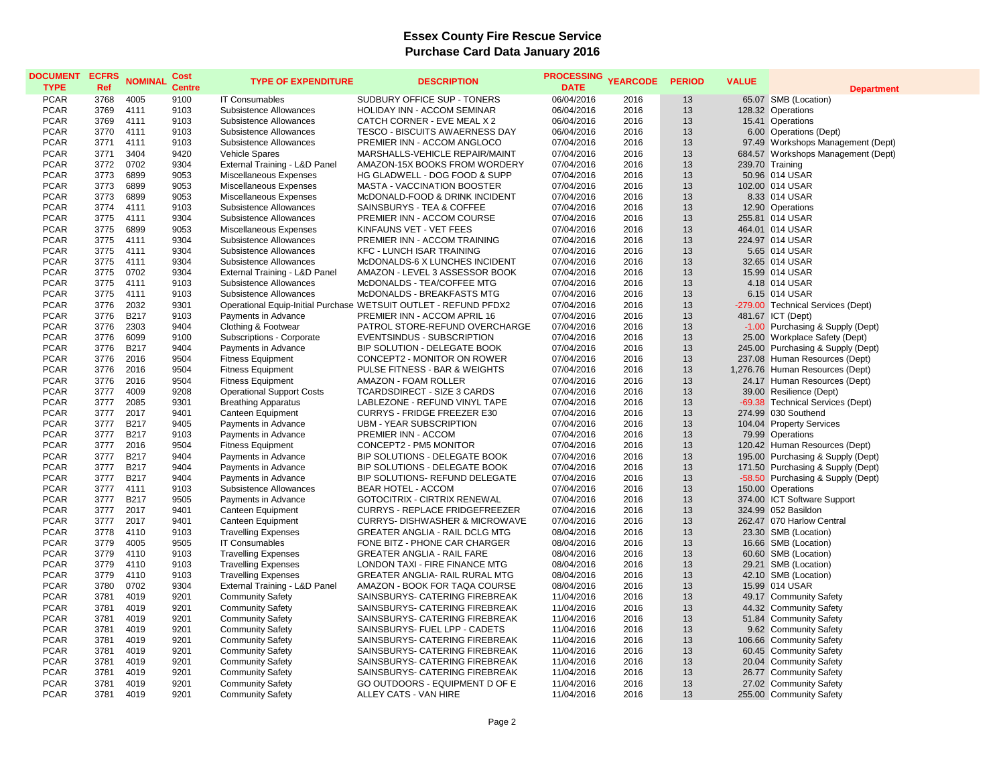| <b>DOCUMENT</b><br><b>TYPE</b> | <b>ECFRS</b><br>Ref | <b>NOMINAL</b> | Cost<br><b>Centre</b> | <b>TYPE OF EXPENDITURE</b>       | <b>DESCRIPTION</b>                                               | <b>PROCESSING</b><br><b>DATE</b> | <b>YEARCODE</b> | <b>PERIOD</b> | <b>VALUE</b> | <b>Department</b>                  |
|--------------------------------|---------------------|----------------|-----------------------|----------------------------------|------------------------------------------------------------------|----------------------------------|-----------------|---------------|--------------|------------------------------------|
| <b>PCAR</b>                    | 3768                | 4005           | 9100                  | <b>IT Consumables</b>            | SUDBURY OFFICE SUP - TONERS                                      | 06/04/2016                       | 2016            | 13            |              | 65.07 SMB (Location)               |
| <b>PCAR</b>                    | 3769                | 4111           | 9103                  | Subsistence Allowances           | HOLIDAY INN - ACCOM SEMINAR                                      | 06/04/2016                       | 2016            | 13            |              | 128.32 Operations                  |
| <b>PCAR</b>                    | 3769                | 4111           | 9103                  | Subsistence Allowances           | CATCH CORNER - EVE MEAL X 2                                      | 06/04/2016                       | 2016            | 13            |              | 15.41 Operations                   |
| <b>PCAR</b>                    | 3770                | 4111           | 9103                  | Subsistence Allowances           | TESCO - BISCUITS AWAERNESS DAY                                   | 06/04/2016                       | 2016            | 13            |              | 6.00 Operations (Dept)             |
| <b>PCAR</b>                    | 3771                | 4111           | 9103                  | Subsistence Allowances           | PREMIER INN - ACCOM ANGLOCO                                      | 07/04/2016                       | 2016            | 13            |              | 97.49 Workshops Management (Dept)  |
| <b>PCAR</b>                    | 3771                | 3404           | 9420                  | <b>Vehicle Spares</b>            | MARSHALLS-VEHICLE REPAIR/MAINT                                   | 07/04/2016                       | 2016            | 13            |              | 684.57 Workshops Management (Dept) |
| <b>PCAR</b>                    | 3772                | 0702           | 9304                  | External Training - L&D Panel    | AMAZON-15X BOOKS FROM WORDERY                                    | 07/04/2016                       | 2016            | 13            |              | 239.70 Training                    |
| <b>PCAR</b>                    | 3773                | 6899           | 9053                  | Miscellaneous Expenses           | HG GLADWELL - DOG FOOD & SUPP                                    | 07/04/2016                       | 2016            | 13            |              | 50.96 014 USAR                     |
| <b>PCAR</b>                    | 3773                | 6899           | 9053                  | Miscellaneous Expenses           | MASTA - VACCINATION BOOSTER                                      | 07/04/2016                       | 2016            | 13            |              | 102.00 014 USAR                    |
| <b>PCAR</b>                    | 3773                | 6899           | 9053                  | Miscellaneous Expenses           | McDONALD-FOOD & DRINK INCIDENT                                   | 07/04/2016                       | 2016            | 13            |              | 8.33 014 USAR                      |
| <b>PCAR</b>                    | 3774                | 4111           | 9103                  | Subsistence Allowances           | SAINSBURYS - TEA & COFFEE                                        | 07/04/2016                       | 2016            | 13            |              | 12.90 Operations                   |
| <b>PCAR</b>                    | 3775                | 4111           | 9304                  | Subsistence Allowances           | PREMIER INN - ACCOM COURSE                                       | 07/04/2016                       | 2016            | 13            |              | 255.81 014 USAR                    |
| <b>PCAR</b>                    | 3775                | 6899           | 9053                  | Miscellaneous Expenses           | KINFAUNS VET - VET FEES                                          | 07/04/2016                       | 2016            | 13            |              | 464.01 014 USAR                    |
| <b>PCAR</b>                    | 3775                | 4111           | 9304                  | Subsistence Allowances           | PREMIER INN - ACCOM TRAINING                                     | 07/04/2016                       | 2016            | 13            |              | 224.97 014 USAR                    |
| <b>PCAR</b>                    | 3775                | 4111           | 9304                  | Subsistence Allowances           | <b>KFC - LUNCH ISAR TRAINING</b>                                 | 07/04/2016                       | 2016            | 13            |              | 5.65 014 USAR                      |
| <b>PCAR</b>                    | 3775                | 4111           | 9304                  | Subsistence Allowances           | McDONALDS-6 X LUNCHES INCIDENT                                   | 07/04/2016                       | 2016            | 13            |              | 32.65 014 USAR                     |
| <b>PCAR</b>                    | 3775                | 0702           | 9304                  | External Training - L&D Panel    | AMAZON - LEVEL 3 ASSESSOR BOOK                                   | 07/04/2016                       | 2016            | 13            |              | 15.99 014 USAR                     |
| <b>PCAR</b>                    | 3775                | 4111           | 9103                  | Subsistence Allowances           | McDONALDS - TEA/COFFEE MTG                                       | 07/04/2016                       | 2016            | 13            |              | 4.18 014 USAR                      |
| <b>PCAR</b>                    | 3775                | 4111           | 9103                  | Subsistence Allowances           | McDONALDS - BREAKFASTS MTG                                       | 07/04/2016                       | 2016            | 13            |              | 6.15 014 USAR                      |
| <b>PCAR</b>                    | 3776                | 2032           | 9301                  |                                  | Operational Equip-Initial Purchase WETSUIT OUTLET - REFUND PFDX2 | 07/04/2016                       | 2016            | 13            |              | -279.00 Technical Services (Dept)  |
| <b>PCAR</b>                    | 3776                | <b>B217</b>    | 9103                  | Payments in Advance              | PREMIER INN - ACCOM APRIL 16                                     | 07/04/2016                       | 2016            | 13            |              | 481.67 ICT (Dept)                  |
| <b>PCAR</b>                    | 3776                | 2303           | 9404                  | Clothing & Footwear              | PATROL STORE-REFUND OVERCHARGE                                   | 07/04/2016                       | 2016            | 13            |              | -1.00 Purchasing & Supply (Dept)   |
| <b>PCAR</b>                    | 3776                | 6099           | 9100                  | Subscriptions - Corporate        | EVENTSINDUS - SUBSCRIPTION                                       | 07/04/2016                       | 2016            | 13            |              | 25.00 Workplace Safety (Dept)      |
| <b>PCAR</b>                    | 3776                | <b>B217</b>    | 9404                  | Payments in Advance              | BIP SOLUTION - DELEGATE BOOK                                     | 07/04/2016                       | 2016            | 13            |              | 245.00 Purchasing & Supply (Dept)  |
| <b>PCAR</b>                    | 3776                | 2016           | 9504                  | <b>Fitness Equipment</b>         | CONCEPT2 - MONITOR ON ROWER                                      | 07/04/2016                       | 2016            | 13            |              | 237.08 Human Resources (Dept)      |
| <b>PCAR</b>                    | 3776                | 2016           | 9504                  | <b>Fitness Equipment</b>         | PULSE FITNESS - BAR & WEIGHTS                                    | 07/04/2016                       | 2016            | 13            |              | 1,276.76 Human Resources (Dept)    |
| <b>PCAR</b>                    | 3776                | 2016           | 9504                  | <b>Fitness Equipment</b>         | AMAZON - FOAM ROLLER                                             | 07/04/2016                       | 2016            | 13            |              | 24.17 Human Resources (Dept)       |
| <b>PCAR</b>                    | 3777                | 4009           | 9208                  | <b>Operational Support Costs</b> | <b>TCARDSDIRECT - SIZE 3 CARDS</b>                               | 07/04/2016                       | 2016            | 13            |              | 39.00 Resilience (Dept)            |
| <b>PCAR</b>                    | 3777                | 2085           | 9301                  | <b>Breathing Apparatus</b>       | LABLEZONE - REFUND VINYL TAPE                                    | 07/04/2016                       | 2016            | 13            |              | -69.38 Technical Services (Dept)   |
| <b>PCAR</b>                    | 3777                | 2017           | 9401                  | Canteen Equipment                | <b>CURRYS - FRIDGE FREEZER E30</b>                               | 07/04/2016                       | 2016            | 13            |              | 274.99 030 Southend                |
| <b>PCAR</b>                    | 3777                | <b>B217</b>    | 9405                  | Payments in Advance              | <b>UBM - YEAR SUBSCRIPTION</b>                                   | 07/04/2016                       | 2016            | 13            |              | 104.04 Property Services           |
| <b>PCAR</b>                    | 3777                | <b>B217</b>    | 9103                  | Payments in Advance              | PREMIER INN - ACCOM                                              | 07/04/2016                       | 2016            | 13            |              | 79.99 Operations                   |
| <b>PCAR</b>                    | 3777                | 2016           | 9504                  | <b>Fitness Equipment</b>         | CONCEPT2 - PM5 MONITOR                                           | 07/04/2016                       | 2016            | 13            |              | 120.42 Human Resources (Dept)      |
| <b>PCAR</b>                    | 3777                | <b>B217</b>    | 9404                  | Payments in Advance              | BIP SOLUTIONS - DELEGATE BOOK                                    | 07/04/2016                       | 2016            | 13            |              | 195.00 Purchasing & Supply (Dept)  |
| <b>PCAR</b>                    | 3777                | <b>B217</b>    | 9404                  | Payments in Advance              | BIP SOLUTIONS - DELEGATE BOOK                                    | 07/04/2016                       | 2016            | 13            |              | 171.50 Purchasing & Supply (Dept)  |
| <b>PCAR</b>                    | 3777                | <b>B217</b>    | 9404                  | Payments in Advance              | BIP SOLUTIONS- REFUND DELEGATE                                   | 07/04/2016                       | 2016            | 13            |              | -58.50 Purchasing & Supply (Dept)  |
| <b>PCAR</b>                    | 3777                | 4111           | 9103                  | Subsistence Allowances           | <b>BEAR HOTEL - ACCOM</b>                                        | 07/04/2016                       | 2016            | 13            |              | 150.00 Operations                  |
| <b>PCAR</b>                    | 3777                | B217           | 9505                  | Payments in Advance              | <b>GOTOCITRIX - CIRTRIX RENEWAL</b>                              | 07/04/2016                       | 2016            | 13            |              | 374.00 ICT Software Support        |
| <b>PCAR</b>                    | 3777                | 2017           | 9401                  | Canteen Equipment                | <b>CURRYS - REPLACE FRIDGEFREEZER</b>                            | 07/04/2016                       | 2016            | 13            |              | 324.99 052 Basildon                |
| <b>PCAR</b>                    | 3777                | 2017           | 9401                  | Canteen Equipment                | CURRYS- DISHWASHER & MICROWAVE                                   | 07/04/2016                       | 2016            | 13            |              | 262.47 070 Harlow Central          |
| <b>PCAR</b>                    | 3778                | 4110           | 9103                  | <b>Travelling Expenses</b>       | <b>GREATER ANGLIA - RAIL DCLG MTG</b>                            | 08/04/2016                       | 2016            | 13            |              | 23.30 SMB (Location)               |
| <b>PCAR</b>                    | 3779                | 4005           | 9505                  | <b>IT Consumables</b>            | FONE BITZ - PHONE CAR CHARGER                                    | 08/04/2016                       | 2016            | 13            |              | 16.66 SMB (Location)               |
| <b>PCAR</b>                    | 3779                | 4110           | 9103                  | <b>Travelling Expenses</b>       | <b>GREATER ANGLIA - RAIL FARE</b>                                | 08/04/2016                       | 2016            | 13            |              | 60.60 SMB (Location)               |
| <b>PCAR</b>                    | 3779                | 4110           | 9103                  | <b>Travelling Expenses</b>       | LONDON TAXI - FIRE FINANCE MTG                                   | 08/04/2016                       | 2016            | 13            |              | 29.21 SMB (Location)               |
| PCAR                           | 3779                | 4110           | 9103                  | <b>Travelling Expenses</b>       | GREATER ANGLIA- RAIL RURAL MTG                                   | 08/04/2016                       | 2016            | 13            |              | 42.10 SMB (Location)               |
| <b>PCAR</b>                    | 3780                | 0702           | 9304                  | External Training - L&D Panel    | AMAZON - BOOK FOR TAQA COURSE                                    | 08/04/2016                       | 2016            | 13            |              | 15.99 014 USAR                     |
| <b>PCAR</b>                    | 3781                | 4019           | 9201                  | <b>Community Safety</b>          | SAINSBURYS- CATERING FIREBREAK                                   | 11/04/2016                       | 2016            | 13            |              | 49.17 Community Safety             |
| <b>PCAR</b>                    | 3781                | 4019           | 9201                  | <b>Community Safety</b>          | SAINSBURYS- CATERING FIREBREAK                                   | 11/04/2016                       | 2016            | 13            |              | 44.32 Community Safety             |
| <b>PCAR</b>                    | 3781                | 4019           | 9201                  | <b>Community Safety</b>          | SAINSBURYS- CATERING FIREBREAK                                   | 11/04/2016                       | 2016            | 13            |              | 51.84 Community Safety             |
| <b>PCAR</b>                    | 3781                | 4019           | 9201                  | <b>Community Safety</b>          | SAINSBURYS- FUEL LPP - CADETS                                    | 11/04/2016                       | 2016            | 13            |              | 9.62 Community Safety              |
| <b>PCAR</b>                    | 3781                | 4019           | 9201                  | <b>Community Safety</b>          | SAINSBURYS- CATERING FIREBREAK                                   | 11/04/2016                       | 2016            | 13            |              | 106.66 Community Safety            |
| <b>PCAR</b>                    | 3781                | 4019           | 9201                  | <b>Community Safety</b>          | SAINSBURYS- CATERING FIREBREAK                                   | 11/04/2016                       | 2016            | 13            |              | 60.45 Community Safety             |
| <b>PCAR</b>                    | 3781                | 4019           | 9201                  | <b>Community Safety</b>          | SAINSBURYS- CATERING FIREBREAK                                   | 11/04/2016                       | 2016            | 13            |              | 20.04 Community Safety             |
| <b>PCAR</b>                    | 3781                | 4019           | 9201                  | <b>Community Safety</b>          | SAINSBURYS- CATERING FIREBREAK                                   | 11/04/2016                       | 2016            | 13            |              | 26.77 Community Safety             |
| <b>PCAR</b>                    | 3781                | 4019           | 9201                  | <b>Community Safety</b>          | GO OUTDOORS - EQUIPMENT D OF E                                   | 11/04/2016                       | 2016            | 13            |              | 27.02 Community Safety             |
| <b>PCAR</b>                    | 3781                | 4019           | 9201                  | <b>Community Safety</b>          | ALLEY CATS - VAN HIRE                                            | 11/04/2016                       | 2016            | 13            |              | 255.00 Community Safety            |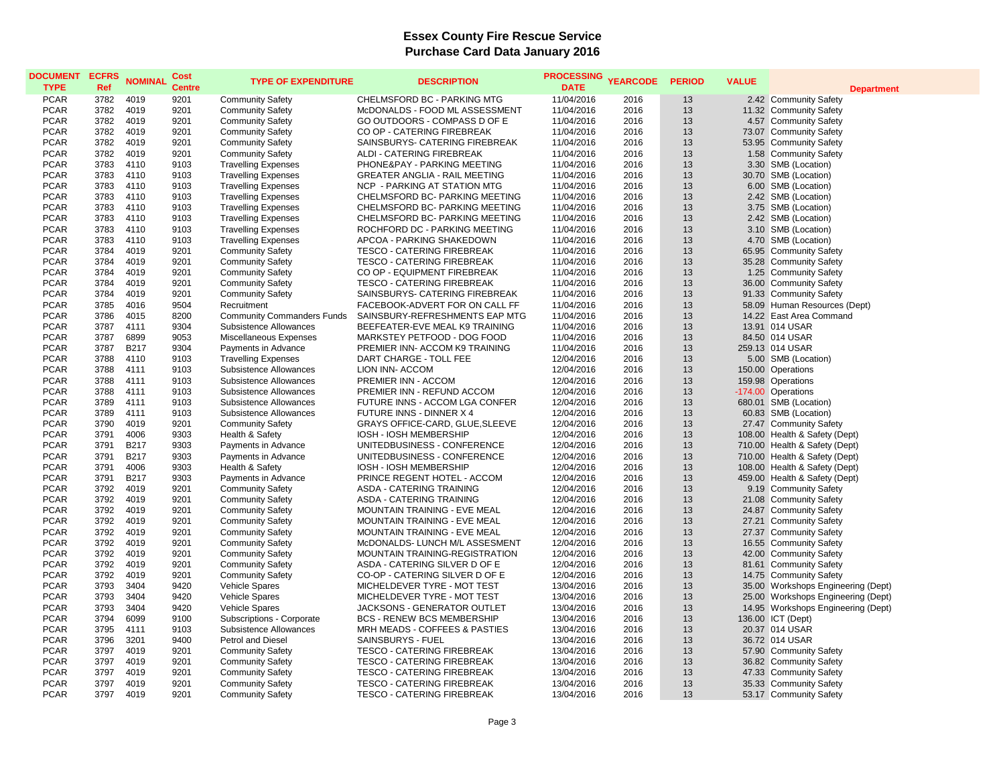| <b>DOCUMENT</b>            | <b>ECFRS</b> | <b>NOMINAL</b>      | Cost          | <b>TYPE OF EXPENDITURE</b>                         | <b>DESCRIPTION</b>                                          | <b>PROCESSING</b>        | <b>YEARCODE</b> | <b>PERIOD</b> | <b>VALUE</b> |                                                                |
|----------------------------|--------------|---------------------|---------------|----------------------------------------------------|-------------------------------------------------------------|--------------------------|-----------------|---------------|--------------|----------------------------------------------------------------|
| <b>TYPE</b>                | Ref          |                     | <b>Centre</b> |                                                    |                                                             | <b>DATE</b>              |                 |               |              | <b>Department</b>                                              |
| <b>PCAR</b>                | 3782         | 4019                | 9201          | <b>Community Safety</b>                            | CHELMSFORD BC - PARKING MTG                                 | 11/04/2016               | 2016            | 13            |              | 2.42 Community Safety                                          |
| <b>PCAR</b>                | 3782         | 4019                | 9201          | <b>Community Safety</b>                            | McDONALDS - FOOD ML ASSESSMENT                              | 11/04/2016               | 2016            | 13            |              | 11.32 Community Safety                                         |
| <b>PCAR</b>                | 3782         | 4019                | 9201          | <b>Community Safety</b>                            | GO OUTDOORS - COMPASS D OF E                                | 11/04/2016               | 2016            | 13            |              | 4.57 Community Safety                                          |
| <b>PCAR</b>                | 3782         | 4019                | 9201          | <b>Community Safety</b>                            | CO OP - CATERING FIREBREAK                                  | 11/04/2016               | 2016            | 13            |              | 73.07 Community Safety                                         |
| <b>PCAR</b>                | 3782         | 4019                | 9201          | <b>Community Safety</b>                            | SAINSBURYS- CATERING FIREBREAK                              | 11/04/2016               | 2016            | 13            |              | 53.95 Community Safety                                         |
| <b>PCAR</b>                | 3782         | 4019                | 9201          | <b>Community Safety</b>                            | ALDI - CATERING FIREBREAK                                   | 11/04/2016               | 2016            | 13            |              | 1.58 Community Safety                                          |
| <b>PCAR</b>                | 3783         | 4110                | 9103          | <b>Travelling Expenses</b>                         | PHONE&PAY - PARKING MEETING                                 | 11/04/2016               | 2016            | 13            |              | 3.30 SMB (Location)                                            |
| <b>PCAR</b>                | 3783         | 4110                | 9103          | <b>Travelling Expenses</b>                         | <b>GREATER ANGLIA - RAIL MEETING</b>                        | 11/04/2016               | 2016            | 13            |              | 30.70 SMB (Location)                                           |
| <b>PCAR</b>                | 3783         | 4110                | 9103          | <b>Travelling Expenses</b>                         | <b>NCP - PARKING AT STATION MTG</b>                         | 11/04/2016               | 2016            | 13            |              | 6.00 SMB (Location)                                            |
| <b>PCAR</b>                | 3783         | 4110                | 9103          | <b>Travelling Expenses</b>                         | CHELMSFORD BC- PARKING MEETING                              | 11/04/2016               | 2016            | 13            |              | 2.42 SMB (Location)                                            |
| <b>PCAR</b>                | 3783         | 4110                | 9103          | <b>Travelling Expenses</b>                         | CHELMSFORD BC- PARKING MEETING                              | 11/04/2016               | 2016            | 13            |              | 3.75 SMB (Location)                                            |
| <b>PCAR</b>                | 3783         | 4110                | 9103          | <b>Travelling Expenses</b>                         | CHELMSFORD BC- PARKING MEETING                              | 11/04/2016               | 2016            | 13            |              | 2.42 SMB (Location)                                            |
| <b>PCAR</b>                | 3783         | 4110                | 9103          | <b>Travelling Expenses</b>                         | ROCHFORD DC - PARKING MEETING                               | 11/04/2016               | 2016            | 13            |              | 3.10 SMB (Location)                                            |
| <b>PCAR</b>                | 3783         | 4110                | 9103          | <b>Travelling Expenses</b>                         | APCOA - PARKING SHAKEDOWN                                   | 11/04/2016               | 2016            | 13            |              | 4.70 SMB (Location)                                            |
| <b>PCAR</b>                | 3784         | 4019                | 9201          | <b>Community Safety</b>                            | <b>TESCO - CATERING FIREBREAK</b>                           | 11/04/2016               | 2016            | 13            |              | 65.95 Community Safety                                         |
| <b>PCAR</b>                | 3784         | 4019                | 9201          | <b>Community Safety</b>                            | <b>TESCO - CATERING FIREBREAK</b>                           | 11/04/2016               | 2016            | 13            |              | 35.28 Community Safety                                         |
| <b>PCAR</b><br><b>PCAR</b> | 3784         | 4019                | 9201          | <b>Community Safety</b>                            | CO OP - EQUIPMENT FIREBREAK                                 | 11/04/2016               | 2016            | 13            |              | 1.25 Community Safety                                          |
|                            | 3784         | 4019                | 9201          | <b>Community Safety</b>                            | <b>TESCO - CATERING FIREBREAK</b>                           | 11/04/2016               | 2016            | 13            |              | 36.00 Community Safety                                         |
| <b>PCAR</b>                | 3784         | 4019                | 9201          | <b>Community Safety</b>                            | SAINSBURYS- CATERING FIREBREAK                              | 11/04/2016               | 2016            | 13            |              | 91.33 Community Safety                                         |
| <b>PCAR</b>                | 3785         | 4016                | 9504          | Recruitment                                        | FACEBOOK-ADVERT FOR ON CALL FF                              | 11/04/2016               | 2016            | 13            |              | 58.09 Human Resources (Dept)                                   |
| <b>PCAR</b>                | 3786         | 4015                | 8200          | <b>Community Commanders Funds</b>                  | SAINSBURY-REFRESHMENTS EAP MTG                              | 11/04/2016               | 2016            | 13            |              | 14.22 East Area Command                                        |
| <b>PCAR</b>                | 3787         | 4111                | 9304          | Subsistence Allowances                             | BEEFEATER-EVE MEAL K9 TRAINING                              | 11/04/2016               | 2016            | 13            |              | 13.91 014 USAR                                                 |
| <b>PCAR</b>                | 3787         | 6899                | 9053          | Miscellaneous Expenses                             | MARKSTEY PETFOOD - DOG FOOD                                 | 11/04/2016               | 2016            | 13            |              | 84.50 014 USAR                                                 |
| <b>PCAR</b>                | 3787         | B217                | 9304          | Payments in Advance                                | PREMIER INN- ACCOM K9 TRAINING                              | 11/04/2016               | 2016            | 13            |              | 259.13 014 USAR                                                |
| <b>PCAR</b>                | 3788         | 4110                | 9103          | <b>Travelling Expenses</b>                         | DART CHARGE - TOLL FEE                                      | 12/04/2016               | 2016            | 13            |              | 5.00 SMB (Location)                                            |
| <b>PCAR</b>                | 3788         | 4111                | 9103          | Subsistence Allowances                             | LION INN- ACCOM                                             | 12/04/2016               | 2016            | 13            |              | 150.00 Operations                                              |
| <b>PCAR</b>                | 3788         | 4111                | 9103          | Subsistence Allowances                             | PREMIER INN - ACCOM                                         | 12/04/2016               | 2016            | 13            |              | 159.98 Operations                                              |
| <b>PCAR</b>                | 3788         | 4111                | 9103          | Subsistence Allowances                             | PREMIER INN - REFUND ACCOM                                  | 12/04/2016               | 2016            | 13            |              | -174.00 Operations                                             |
| <b>PCAR</b>                | 3789         | 4111                | 9103          | Subsistence Allowances                             | FUTURE INNS - ACCOM LGA CONFER                              | 12/04/2016               | 2016            | 13            |              | 680.01 SMB (Location)                                          |
| <b>PCAR</b>                | 3789         | 4111                | 9103          | Subsistence Allowances                             | FUTURE INNS - DINNER X 4                                    | 12/04/2016               | 2016            | 13            |              | 60.83 SMB (Location)                                           |
| <b>PCAR</b>                | 3790         | 4019                | 9201          | <b>Community Safety</b>                            | GRAYS OFFICE-CARD, GLUE, SLEEVE                             | 12/04/2016               | 2016            | 13            |              | 27.47 Community Safety                                         |
| <b>PCAR</b>                | 3791         | 4006                | 9303          | Health & Safety                                    | <b>IOSH - IOSH MEMBERSHIP</b>                               | 12/04/2016               | 2016            | 13<br>13      |              | 108.00 Health & Safety (Dept)                                  |
| <b>PCAR</b>                | 3791         | B217                | 9303          | Payments in Advance                                | UNITEDBUSINESS - CONFERENCE                                 | 12/04/2016               | 2016            |               |              | 710.00 Health & Safety (Dept)                                  |
| <b>PCAR</b><br><b>PCAR</b> | 3791<br>3791 | <b>B217</b><br>4006 | 9303          | Payments in Advance                                | UNITEDBUSINESS - CONFERENCE                                 | 12/04/2016               | 2016            | 13<br>13      |              | 710.00 Health & Safety (Dept)                                  |
| <b>PCAR</b>                | 3791         | B217                | 9303<br>9303  | Health & Safety                                    | IOSH - IOSH MEMBERSHIP<br>PRINCE REGENT HOTEL - ACCOM       | 12/04/2016<br>12/04/2016 | 2016<br>2016    | 13            |              | 108.00 Health & Safety (Dept)<br>459.00 Health & Safety (Dept) |
|                            | 3792         | 4019                | 9201          | Payments in Advance                                |                                                             |                          | 2016            | 13            |              |                                                                |
| <b>PCAR</b><br><b>PCAR</b> | 3792         | 4019                | 9201          | <b>Community Safety</b>                            | ASDA - CATERING TRAINING<br><b>ASDA - CATERING TRAINING</b> | 12/04/2016<br>12/04/2016 | 2016            | 13            |              | 9.19 Community Safety<br>21.08 Community Safety                |
| <b>PCAR</b>                | 3792         | 4019                | 9201          | <b>Community Safety</b>                            | <b>MOUNTAIN TRAINING - EVE MEAL</b>                         | 12/04/2016               | 2016            | 13            |              | 24.87 Community Safety                                         |
| <b>PCAR</b>                | 3792         | 4019                | 9201          | <b>Community Safety</b><br><b>Community Safety</b> | MOUNTAIN TRAINING - EVE MEAL                                | 12/04/2016               | 2016            | 13            |              | 27.21 Community Safety                                         |
| <b>PCAR</b>                | 3792         | 4019                | 9201          | <b>Community Safety</b>                            | <b>MOUNTAIN TRAINING - EVE MEAL</b>                         | 12/04/2016               | 2016            | 13            |              | 27.37 Community Safety                                         |
| <b>PCAR</b>                | 3792         | 4019                | 9201          | <b>Community Safety</b>                            | McDONALDS- LUNCH M/L ASSESMENT                              | 12/04/2016               | 2016            | 13            |              | 16.55 Community Safety                                         |
| <b>PCAR</b>                | 3792         | 4019                | 9201          | <b>Community Safety</b>                            | MOUNTAIN TRAINING-REGISTRATION                              | 12/04/2016               | 2016            | 13            |              | 42.00 Community Safety                                         |
| <b>PCAR</b>                | 3792         | 4019                | 9201          | <b>Community Safety</b>                            | ASDA - CATERING SILVER D OF E                               | 12/04/2016               | 2016            | 13            |              | 81.61 Community Safety                                         |
| <b>PCAR</b>                | 3792         | 4019                | 9201          | <b>Community Safety</b>                            | CO-OP - CATERING SILVER D OF E                              | 12/04/2016               | 2016            | 13            |              | 14.75 Community Safety                                         |
| <b>PCAR</b>                | 3793         | 3404                | 9420          | Vehicle Spares                                     | MICHELDEVER TYRE - MOT TEST                                 | 13/04/2016               | 2016            | 13            |              | 35.00 Workshops Engineering (Dept)                             |
| <b>PCAR</b>                | 3793         | 3404                | 9420          | Vehicle Spares                                     | MICHELDEVER TYRE - MOT TEST                                 | 13/04/2016               | 2016            | 13            |              | 25.00 Workshops Engineering (Dept)                             |
| <b>PCAR</b>                | 3793         | 3404                | 9420          | <b>Vehicle Spares</b>                              | JACKSONS - GENERATOR OUTLET                                 | 13/04/2016               | 2016            | 13            |              | 14.95 Workshops Engineering (Dept)                             |
| <b>PCAR</b>                | 3794         | 6099                | 9100          | Subscriptions - Corporate                          | <b>BCS - RENEW BCS MEMBERSHIP</b>                           | 13/04/2016               | 2016            | 13            |              | 136.00 ICT (Dept)                                              |
| <b>PCAR</b>                | 3795         | 4111                | 9103          | Subsistence Allowances                             | MRH MEADS - COFFEES & PASTIES                               | 13/04/2016               | 2016            | 13            |              | 20.37 014 USAR                                                 |
| <b>PCAR</b>                | 3796         | 3201                | 9400          | Petrol and Diesel                                  | SAINSBURYS - FUEL                                           | 13/04/2016               | 2016            | 13            |              | 36.72 014 USAR                                                 |
| <b>PCAR</b>                | 3797         | 4019                | 9201          | <b>Community Safety</b>                            | <b>TESCO - CATERING FIREBREAK</b>                           | 13/04/2016               | 2016            | 13            |              | 57.90 Community Safety                                         |
| <b>PCAR</b>                | 3797         | 4019                | 9201          | <b>Community Safety</b>                            | TESCO - CATERING FIREBREAK                                  | 13/04/2016               | 2016            | 13            |              | 36.82 Community Safety                                         |
| <b>PCAR</b>                | 3797         | 4019                | 9201          | <b>Community Safety</b>                            | TESCO - CATERING FIREBREAK                                  | 13/04/2016               | 2016            | 13            |              | 47.33 Community Safety                                         |
| <b>PCAR</b>                | 3797         | 4019                | 9201          | <b>Community Safety</b>                            | <b>TESCO - CATERING FIREBREAK</b>                           | 13/04/2016               | 2016            | 13            |              | 35.33 Community Safety                                         |
| <b>PCAR</b>                | 3797         | 4019                | 9201          | <b>Community Safety</b>                            | <b>TESCO - CATERING FIREBREAK</b>                           | 13/04/2016               | 2016            | 13            |              | 53.17 Community Safety                                         |
|                            |              |                     |               |                                                    |                                                             |                          |                 |               |              |                                                                |